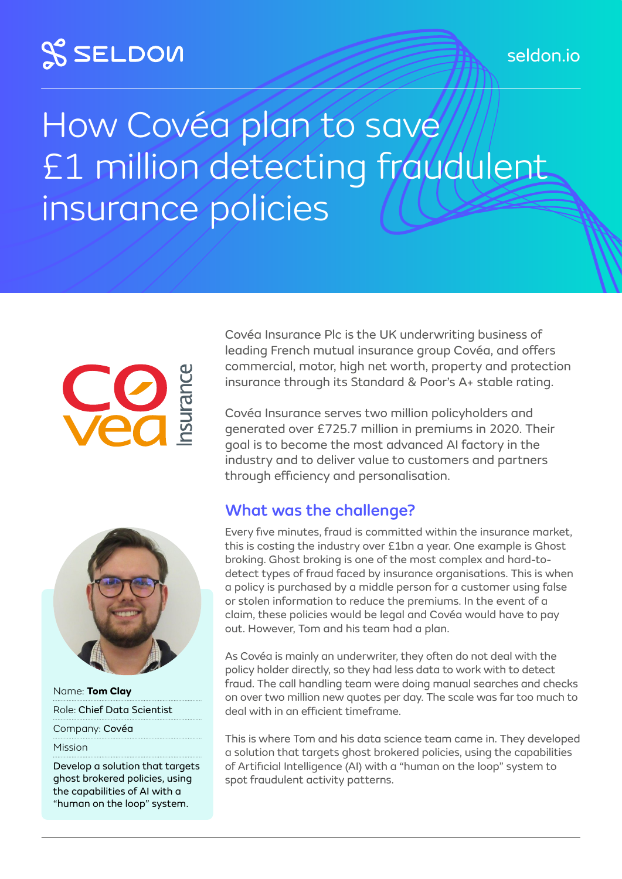## **SSELDOW**

# How Covéa plan to save £1 million detecting fraudulent insurance policies



Name: **Tom Clay** Role: Chief Data Scientist

Company: Covéa

Mission

Develop a solution that targets ghost brokered policies, using the capabilities of AI with a "human on the loop" system.

Covéa Insurance Plc is the UK underwriting business of leading French mutual insurance group Covéa, and offers commercial, motor, high net worth, property and protection insurance through its Standard & Poor's A+ stable rating.

Covéa Insurance serves two million policyholders and generated over £725.7 million in premiums in 2020. Their goal is to become the most advanced AI factory in the industry and to deliver value to customers and partners through efficiency and personalisation.

### What was the challenge?

Every five minutes, fraud is committed within the insurance market, this is costing the industry over £1bn a year. One example is Ghost broking. Ghost broking is one of the most complex and hard-todetect types of fraud faced by insurance organisations. This is when a policy is purchased by a middle person for a customer using false or stolen information to reduce the premiums. In the event of a claim, these policies would be legal and Covéa would have to pay out. However, Tom and his team had a plan.

As Covéa is mainly an underwriter, they often do not deal with the policy holder directly, so they had less data to work with to detect fraud. The call handling team were doing manual searches and checks on over two million new quotes per day. The scale was far too much to deal with in an efficient timeframe.

This is where Tom and his data science team came in. They developed a solution that targets ghost brokered policies, using the capabilities of Artificial Intelligence (AI) with a "human on the loop" system to spot fraudulent activity patterns.